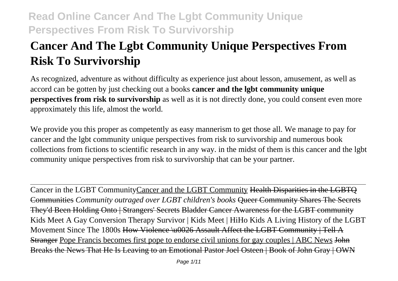# **Cancer And The Lgbt Community Unique Perspectives From Risk To Survivorship**

As recognized, adventure as without difficulty as experience just about lesson, amusement, as well as accord can be gotten by just checking out a books **cancer and the lgbt community unique perspectives from risk to survivorship** as well as it is not directly done, you could consent even more approximately this life, almost the world.

We provide you this proper as competently as easy mannerism to get those all. We manage to pay for cancer and the lgbt community unique perspectives from risk to survivorship and numerous book collections from fictions to scientific research in any way. in the midst of them is this cancer and the lgbt community unique perspectives from risk to survivorship that can be your partner.

Cancer in the LGBT CommunityCancer and the LGBT Community Health Disparities in the LGBTQ Communities *Community outraged over LGBT children's books* Queer Community Shares The Secrets They'd Been Holding Onto | Strangers' Secrets Bladder Cancer Awareness for the LGBT community Kids Meet A Gay Conversion Therapy Survivor | Kids Meet | HiHo Kids A Living History of the LGBT Movement Since The 1800s How Violence \u0026 Assault Affect the LGBT Community | Tell A Stranger Pope Francis becomes first pope to endorse civil unions for gay couples | ABC News John Breaks the News That He Is Leaving to an Emotional Pastor Joel Osteen | Book of John Gray | OWN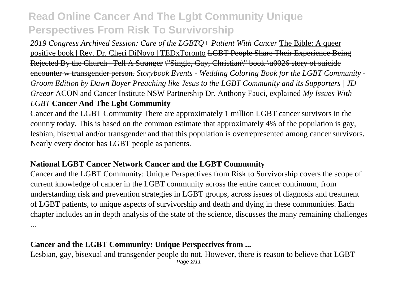*2019 Congress Archived Session: Care of the LGBTQ+ Patient With Cancer* The Bible: A queer positive book | Rev. Dr. Cheri DiNovo | TEDxToronto LGBT People Share Their Experience Being Rejected By the Church | Tell A Stranger \"Single, Gay, Christian\" book \u0026 story of suicide encounter w transgender person. *Storybook Events - Wedding Coloring Book for the LGBT Community - Groom Edition by Dawn Boyer Preaching like Jesus to the LGBT Community and its Supporters | JD Greear* ACON and Cancer Institute NSW Partnership Dr. Anthony Fauci, explained *My Issues With LGBT* **Cancer And The Lgbt Community**

Cancer and the LGBT Community There are approximately 1 million LGBT cancer survivors in the country today. This is based on the common estimate that approximately 4% of the population is gay, lesbian, bisexual and/or transgender and that this population is overrepresented among cancer survivors. Nearly every doctor has LGBT people as patients.

### **National LGBT Cancer Network Cancer and the LGBT Community**

Cancer and the LGBT Community: Unique Perspectives from Risk to Survivorship covers the scope of current knowledge of cancer in the LGBT community across the entire cancer continuum, from understanding risk and prevention strategies in LGBT groups, across issues of diagnosis and treatment of LGBT patients, to unique aspects of survivorship and death and dying in these communities. Each chapter includes an in depth analysis of the state of the science, discusses the many remaining challenges ...

### **Cancer and the LGBT Community: Unique Perspectives from ...**

Lesbian, gay, bisexual and transgender people do not. However, there is reason to believe that LGBT Page 2/11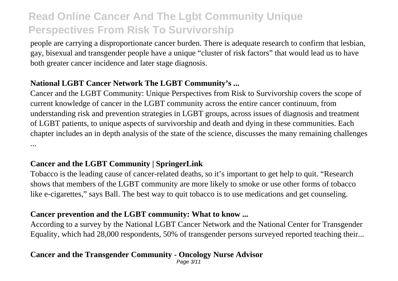people are carrying a disproportionate cancer burden. There is adequate research to confirm that lesbian, gay, bisexual and transgender people have a unique "cluster of risk factors" that would lead us to have both greater cancer incidence and later stage diagnosis.

### **National LGBT Cancer Network The LGBT Community's ...**

Cancer and the LGBT Community: Unique Perspectives from Risk to Survivorship covers the scope of current knowledge of cancer in the LGBT community across the entire cancer continuum, from understanding risk and prevention strategies in LGBT groups, across issues of diagnosis and treatment of LGBT patients, to unique aspects of survivorship and death and dying in these communities. Each chapter includes an in depth analysis of the state of the science, discusses the many remaining challenges ...

### **Cancer and the LGBT Community | SpringerLink**

Tobacco is the leading cause of cancer-related deaths, so it's important to get help to quit. "Research shows that members of the LGBT community are more likely to smoke or use other forms of tobacco like e-cigarettes," says Ball. The best way to quit tobacco is to use medications and get counseling.

#### **Cancer prevention and the LGBT community: What to know ...**

According to a survey by the National LGBT Cancer Network and the National Center for Transgender Equality, which had 28,000 respondents, 50% of transgender persons surveyed reported teaching their...

### **Cancer and the Transgender Community - Oncology Nurse Advisor**

Page 3/11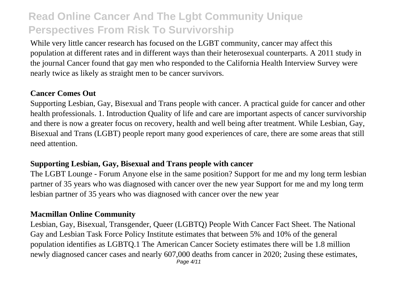While very little cancer research has focused on the LGBT community, cancer may affect this population at different rates and in different ways than their heterosexual counterparts. A 2011 study in the journal Cancer found that gay men who responded to the California Health Interview Survey were nearly twice as likely as straight men to be cancer survivors.

#### **Cancer Comes Out**

Supporting Lesbian, Gay, Bisexual and Trans people with cancer. A practical guide for cancer and other health professionals. 1. Introduction Quality of life and care are important aspects of cancer survivorship and there is now a greater focus on recovery, health and well being after treatment. While Lesbian, Gay, Bisexual and Trans (LGBT) people report many good experiences of care, there are some areas that still need attention.

### **Supporting Lesbian, Gay, Bisexual and Trans people with cancer**

The LGBT Lounge - Forum Anyone else in the same position? Support for me and my long term lesbian partner of 35 years who was diagnosed with cancer over the new year Support for me and my long term lesbian partner of 35 years who was diagnosed with cancer over the new year

### **Macmillan Online Community**

Lesbian, Gay, Bisexual, Transgender, Queer (LGBTQ) People With Cancer Fact Sheet. The National Gay and Lesbian Task Force Policy Institute estimates that between 5% and 10% of the general population identifies as LGBTQ.1 The American Cancer Society estimates there will be 1.8 million newly diagnosed cancer cases and nearly 607,000 deaths from cancer in 2020; 2using these estimates,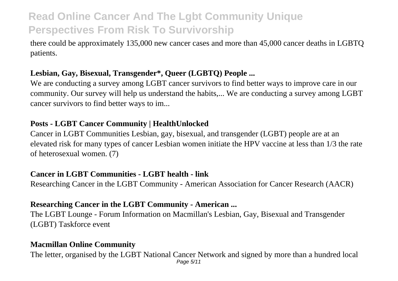there could be approximately 135,000 new cancer cases and more than 45,000 cancer deaths in LGBTQ patients.

### **Lesbian, Gay, Bisexual, Transgender\*, Queer (LGBTQ) People ...**

We are conducting a survey among LGBT cancer survivors to find better ways to improve care in our community. Our survey will help us understand the habits,... We are conducting a survey among LGBT cancer survivors to find better ways to im...

### **Posts - LGBT Cancer Community | HealthUnlocked**

Cancer in LGBT Communities Lesbian, gay, bisexual, and transgender (LGBT) people are at an elevated risk for many types of cancer Lesbian women initiate the HPV vaccine at less than 1/3 the rate of heterosexual women. (7)

### **Cancer in LGBT Communities - LGBT health - link**

Researching Cancer in the LGBT Community - American Association for Cancer Research (AACR)

### **Researching Cancer in the LGBT Community - American ...**

The LGBT Lounge - Forum Information on Macmillan's Lesbian, Gay, Bisexual and Transgender (LGBT) Taskforce event

### **Macmillan Online Community**

The letter, organised by the LGBT National Cancer Network and signed by more than a hundred local Page 5/11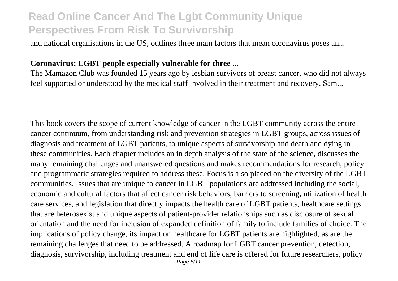and national organisations in the US, outlines three main factors that mean coronavirus poses an...

#### **Coronavirus: LGBT people especially vulnerable for three ...**

The Mamazon Club was founded 15 years ago by lesbian survivors of breast cancer, who did not always feel supported or understood by the medical staff involved in their treatment and recovery. Sam...

This book covers the scope of current knowledge of cancer in the LGBT community across the entire cancer continuum, from understanding risk and prevention strategies in LGBT groups, across issues of diagnosis and treatment of LGBT patients, to unique aspects of survivorship and death and dying in these communities. Each chapter includes an in depth analysis of the state of the science, discusses the many remaining challenges and unanswered questions and makes recommendations for research, policy and programmatic strategies required to address these. Focus is also placed on the diversity of the LGBT communities. Issues that are unique to cancer in LGBT populations are addressed including the social, economic and cultural factors that affect cancer risk behaviors, barriers to screening, utilization of health care services, and legislation that directly impacts the health care of LGBT patients, healthcare settings that are heterosexist and unique aspects of patient-provider relationships such as disclosure of sexual orientation and the need for inclusion of expanded definition of family to include families of choice. The implications of policy change, its impact on healthcare for LGBT patients are highlighted, as are the remaining challenges that need to be addressed. A roadmap for LGBT cancer prevention, detection, diagnosis, survivorship, including treatment and end of life care is offered for future researchers, policy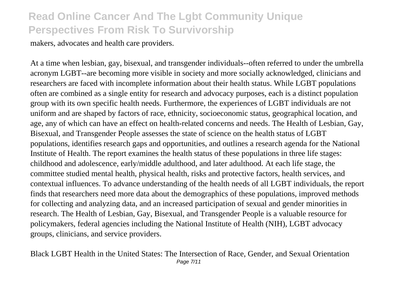makers, advocates and health care providers.

At a time when lesbian, gay, bisexual, and transgender individuals--often referred to under the umbrella acronym LGBT--are becoming more visible in society and more socially acknowledged, clinicians and researchers are faced with incomplete information about their health status. While LGBT populations often are combined as a single entity for research and advocacy purposes, each is a distinct population group with its own specific health needs. Furthermore, the experiences of LGBT individuals are not uniform and are shaped by factors of race, ethnicity, socioeconomic status, geographical location, and age, any of which can have an effect on health-related concerns and needs. The Health of Lesbian, Gay, Bisexual, and Transgender People assesses the state of science on the health status of LGBT populations, identifies research gaps and opportunities, and outlines a research agenda for the National Institute of Health. The report examines the health status of these populations in three life stages: childhood and adolescence, early/middle adulthood, and later adulthood. At each life stage, the committee studied mental health, physical health, risks and protective factors, health services, and contextual influences. To advance understanding of the health needs of all LGBT individuals, the report finds that researchers need more data about the demographics of these populations, improved methods for collecting and analyzing data, and an increased participation of sexual and gender minorities in research. The Health of Lesbian, Gay, Bisexual, and Transgender People is a valuable resource for policymakers, federal agencies including the National Institute of Health (NIH), LGBT advocacy groups, clinicians, and service providers.

Black LGBT Health in the United States: The Intersection of Race, Gender, and Sexual Orientation Page 7/11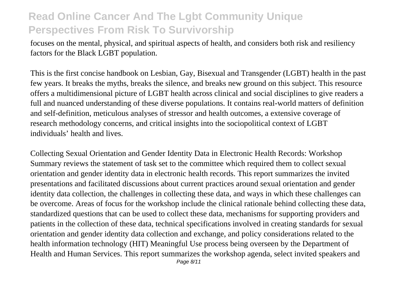focuses on the mental, physical, and spiritual aspects of health, and considers both risk and resiliency factors for the Black LGBT population.

This is the first concise handbook on Lesbian, Gay, Bisexual and Transgender (LGBT) health in the past few years. It breaks the myths, breaks the silence, and breaks new ground on this subject. This resource offers a multidimensional picture of LGBT health across clinical and social disciplines to give readers a full and nuanced understanding of these diverse populations. It contains real-world matters of definition and self-definition, meticulous analyses of stressor and health outcomes, a extensive coverage of research methodology concerns, and critical insights into the sociopolitical context of LGBT individuals' health and lives.

Collecting Sexual Orientation and Gender Identity Data in Electronic Health Records: Workshop Summary reviews the statement of task set to the committee which required them to collect sexual orientation and gender identity data in electronic health records. This report summarizes the invited presentations and facilitated discussions about current practices around sexual orientation and gender identity data collection, the challenges in collecting these data, and ways in which these challenges can be overcome. Areas of focus for the workshop include the clinical rationale behind collecting these data, standardized questions that can be used to collect these data, mechanisms for supporting providers and patients in the collection of these data, technical specifications involved in creating standards for sexual orientation and gender identity data collection and exchange, and policy considerations related to the health information technology (HIT) Meaningful Use process being overseen by the Department of Health and Human Services. This report summarizes the workshop agenda, select invited speakers and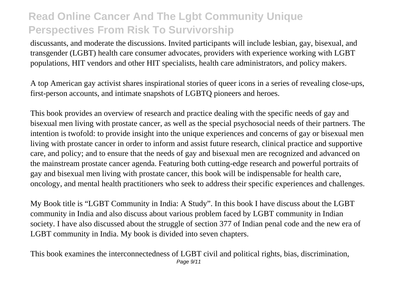discussants, and moderate the discussions. Invited participants will include lesbian, gay, bisexual, and transgender (LGBT) health care consumer advocates, providers with experience working with LGBT populations, HIT vendors and other HIT specialists, health care administrators, and policy makers.

A top American gay activist shares inspirational stories of queer icons in a series of revealing close-ups, first-person accounts, and intimate snapshots of LGBTQ pioneers and heroes.

This book provides an overview of research and practice dealing with the specific needs of gay and bisexual men living with prostate cancer, as well as the special psychosocial needs of their partners. The intention is twofold: to provide insight into the unique experiences and concerns of gay or bisexual men living with prostate cancer in order to inform and assist future research, clinical practice and supportive care, and policy; and to ensure that the needs of gay and bisexual men are recognized and advanced on the mainstream prostate cancer agenda. Featuring both cutting-edge research and powerful portraits of gay and bisexual men living with prostate cancer, this book will be indispensable for health care, oncology, and mental health practitioners who seek to address their specific experiences and challenges.

My Book title is "LGBT Community in India: A Study". In this book I have discuss about the LGBT community in India and also discuss about various problem faced by LGBT community in Indian society. I have also discussed about the struggle of section 377 of Indian penal code and the new era of LGBT community in India. My book is divided into seven chapters.

This book examines the interconnectedness of LGBT civil and political rights, bias, discrimination, Page 9/11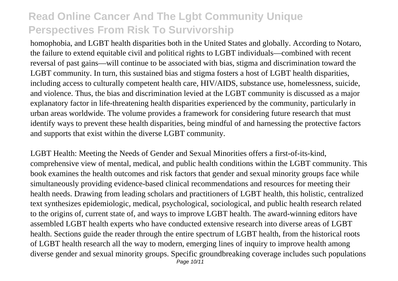homophobia, and LGBT health disparities both in the United States and globally. According to Notaro, the failure to extend equitable civil and political rights to LGBT individuals—combined with recent reversal of past gains—will continue to be associated with bias, stigma and discrimination toward the LGBT community. In turn, this sustained bias and stigma fosters a host of LGBT health disparities, including access to culturally competent health care, HIV/AIDS, substance use, homelessness, suicide, and violence. Thus, the bias and discrimination levied at the LGBT community is discussed as a major explanatory factor in life-threatening health disparities experienced by the community, particularly in urban areas worldwide. The volume provides a framework for considering future research that must identify ways to prevent these health disparities, being mindful of and harnessing the protective factors and supports that exist within the diverse LGBT community.

LGBT Health: Meeting the Needs of Gender and Sexual Minorities offers a first-of-its-kind, comprehensive view of mental, medical, and public health conditions within the LGBT community. This book examines the health outcomes and risk factors that gender and sexual minority groups face while simultaneously providing evidence-based clinical recommendations and resources for meeting their health needs. Drawing from leading scholars and practitioners of LGBT health, this holistic, centralized text synthesizes epidemiologic, medical, psychological, sociological, and public health research related to the origins of, current state of, and ways to improve LGBT health. The award-winning editors have assembled LGBT health experts who have conducted extensive research into diverse areas of LGBT health. Sections guide the reader through the entire spectrum of LGBT health, from the historical roots of LGBT health research all the way to modern, emerging lines of inquiry to improve health among diverse gender and sexual minority groups. Specific groundbreaking coverage includes such populations Page 10/11